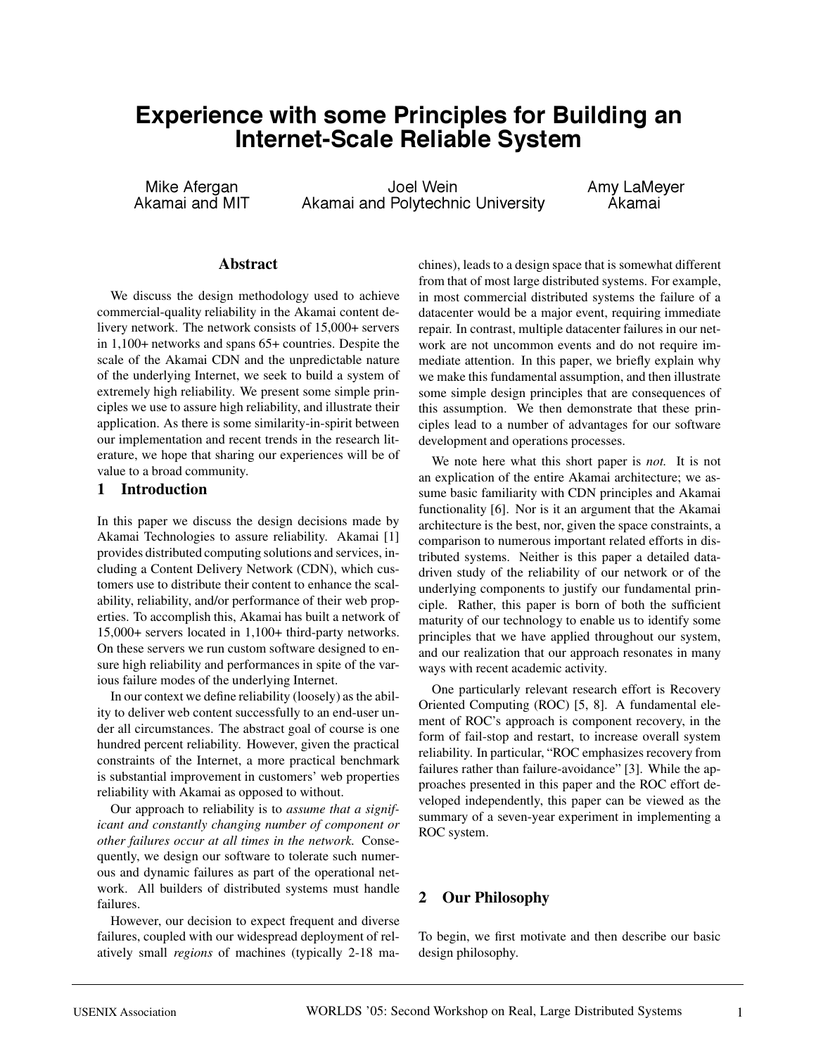# **Experience with some Principles for Building an Internet-Scale Reliable System**

Mike Afergan **Mike Afergan** Joel Wein **Amy LaMeyer**<br>Akamai and MIT Akamai and Polytechnic University Akamai Akamai and Polytechnic University

### **Abstract**

We discuss the design methodology used to achieve commercial-quality reliability in the Akamai content delivery network. The network consists of 15,000+ servers in 1,100+ networks and spans 65+ countries. Despite the scale of the Akamai CDN and the unpredictable nature of the underlying Internet, we seek to build a system of extremely high reliability. We present some simple principles we use to assure high reliability, and illustrate their application. As there is some similarity-in-spirit between our implementation and recent trends in the research literature, we hope that sharing our experiences will be of value to a broad community.

### **1 Introduction**

In this paper we discuss the design decisions made by Akamai Technologies to assure reliability. Akamai [1] provides distributed computing solutions and services, including a Content Delivery Network (CDN), which customers use to distribute their content to enhance the scalability, reliability, and/or performance of their web properties. To accomplish this, Akamai has built a network of 15,000+ servers located in 1,100+ third-party networks. On these servers we run custom software designed to ensure high reliability and performances in spite of the various failure modes of the underlying Internet.

In our context we define reliability (loosely) as the ability to deliver web content successfully to an end-user under all circumstances. The abstract goal of course is one hundred percent reliability. However, given the practical constraints of the Internet, a more practical benchmark is substantial improvement in customers' web properties reliability with Akamai as opposed to without.

Our approach to reliability is to *assume that a significant and constantly changing number of component or other failures occur at all times in the network.* Consequently, we design our software to tolerate such numerous and dynamic failures as part of the operational network. All builders of distributed systems must handle failures.

However, our decision to expect frequent and diverse failures, coupled with our widespread deployment of relatively small *regions* of machines (typically 2-18 machines), leads to a design space that is somewhat different from that of most large distributed systems. For example, in most commercial distributed systems the failure of a datacenter would be a major event, requiring immediate repair. In contrast, multiple datacenter failures in our network are not uncommon events and do not require immediate attention. In this paper, we briefly explain why we make this fundamental assumption, and then illustrate some simple design principles that are consequences of this assumption. We then demonstrate that these principles lead to a number of advantages for our software development and operations processes.

We note here what this short paper is *not.* It is not an explication of the entire Akamai architecture; we assume basic familiarity with CDN principles and Akamai functionality [6]. Nor is it an argument that the Akamai architecture is the best, nor, given the space constraints, a comparison to numerous important related efforts in distributed systems. Neither is this paper a detailed datadriven study of the reliability of our network or of the underlying components to justify our fundamental principle. Rather, this paper is born of both the sufficient maturity of our technology to enable us to identify some principles that we have applied throughout our system, and our realization that our approach resonates in many ways with recent academic activity.

One particularly relevant research effort is Recovery Oriented Computing (ROC) [5, 8]. A fundamental element of ROC's approach is component recovery, in the form of fail-stop and restart, to increase overall system reliability. In particular, "ROC emphasizes recovery from failures rather than failure-avoidance" [3]. While the approaches presented in this paper and the ROC effort developed independently, this paper can be viewed as the summary of a seven-year experiment in implementing a ROC system.

### **2 Our Philosophy**

To begin, we first motivate and then describe our basic design philosophy.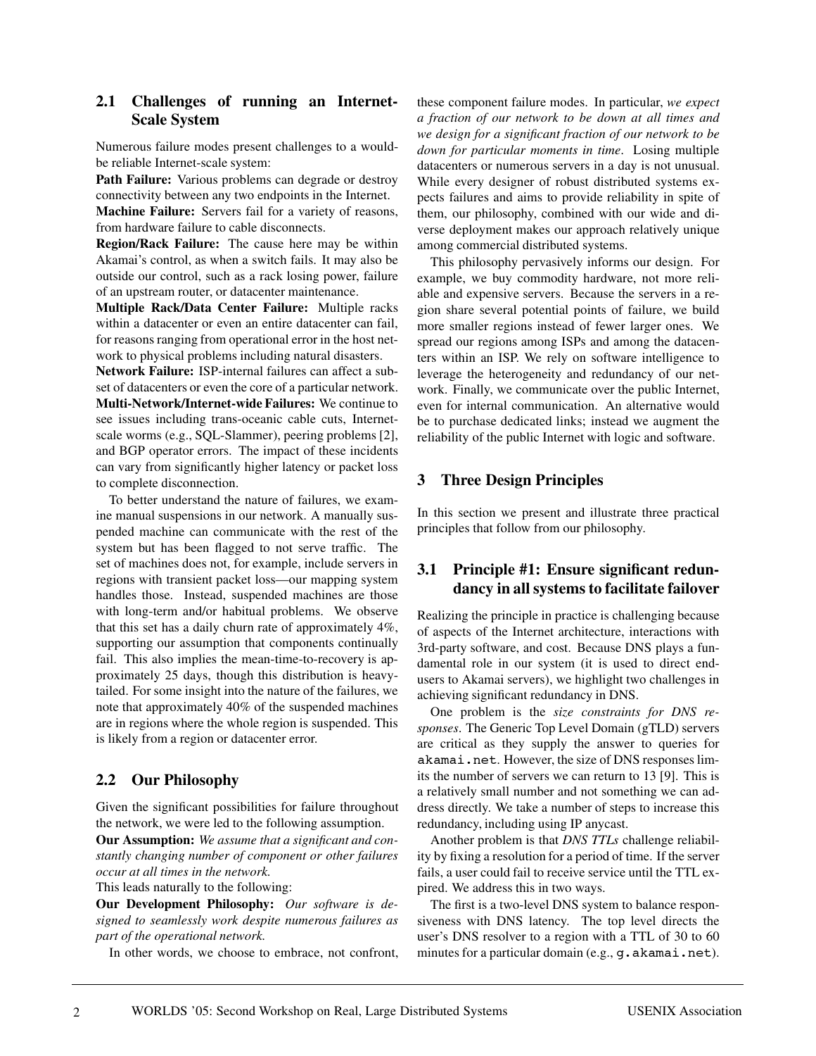### **2.1 Challenges of running an Internet-Scale System**

Numerous failure modes present challenges to a wouldbe reliable Internet-scale system:

**Path Failure:** Various problems can degrade or destroy connectivity between any two endpoints in the Internet.

**Machine Failure:** Servers fail for a variety of reasons, from hardware failure to cable disconnects.

**Region/Rack Failure:** The cause here may be within Akamai's control, as when a switch fails. It may also be outside our control, such as a rack losing power, failure of an upstream router, or datacenter maintenance.

**Multiple Rack/Data Center Failure:** Multiple racks within a datacenter or even an entire datacenter can fail, for reasons ranging from operational error in the host network to physical problems including natural disasters.

**Network Failure:** ISP-internal failures can affect a subset of datacenters or even the core of a particular network.

**Multi-Network/Internet-wide Failures:** We continue to see issues including trans-oceanic cable cuts, Internetscale worms (e.g., SQL-Slammer), peering problems [2], and BGP operator errors. The impact of these incidents can vary from significantly higher latency or packet loss to complete disconnection.

To better understand the nature of failures, we examine manual suspensions in our network. A manually suspended machine can communicate with the rest of the system but has been flagged to not serve traffic. The set of machines does not, for example, include servers in regions with transient packet loss—our mapping system handles those. Instead, suspended machines are those with long-term and/or habitual problems. We observe that this set has a daily churn rate of approximately 4%, supporting our assumption that components continually fail. This also implies the mean-time-to-recovery is approximately 25 days, though this distribution is heavytailed. For some insight into the nature of the failures, we note that approximately 40% of the suspended machines are in regions where the whole region is suspended. This is likely from a region or datacenter error.

# **2.2 Our Philosophy**

Given the significant possibilities for failure throughout the network, we were led to the following assumption.

**Our Assumption:** *We assume that a significant and constantly changing number of component or other failures occur at all times in the network.*

This leads naturally to the following:

**Our Development Philosophy:** *Our software is designed to seamlessly work despite numerous failures as part of the operational network.*

In other words, we choose to embrace, not confront,

these component failure modes. In particular, *we expect a fraction of our network to be down at all times and we design for a significant fraction of our network to be down for particular moments in time*. Losing multiple datacenters or numerous servers in a day is not unusual. While every designer of robust distributed systems expects failures and aims to provide reliability in spite of them, our philosophy, combined with our wide and diverse deployment makes our approach relatively unique among commercial distributed systems.

This philosophy pervasively informs our design. For example, we buy commodity hardware, not more reliable and expensive servers. Because the servers in a region share several potential points of failure, we build more smaller regions instead of fewer larger ones. We spread our regions among ISPs and among the datacenters within an ISP. We rely on software intelligence to leverage the heterogeneity and redundancy of our network. Finally, we communicate over the public Internet, even for internal communication. An alternative would be to purchase dedicated links; instead we augment the reliability of the public Internet with logic and software.

### **3 Three Design Principles**

In this section we present and illustrate three practical principles that follow from our philosophy.

### **3.1 Principle #1: Ensure significant redundancy in all systems to facilitate failover**

Realizing the principle in practice is challenging because of aspects of the Internet architecture, interactions with 3rd-party software, and cost. Because DNS plays a fundamental role in our system (it is used to direct endusers to Akamai servers), we highlight two challenges in achieving significant redundancy in DNS.

One problem is the *size constraints for DNS responses*. The Generic Top Level Domain (gTLD) servers are critical as they supply the answer to queries for akamai.net. However, the size of DNS responses limits the number of servers we can return to 13 [9]. This is a relatively small number and not something we can address directly. We take a number of steps to increase this redundancy, including using IP anycast.

Another problem is that *DNS TTLs* challenge reliability by fixing a resolution for a period of time. If the server fails, a user could fail to receive service until the TTL expired. We address this in two ways.

The first is a two-level DNS system to balance responsiveness with DNS latency. The top level directs the user's DNS resolver to a region with a TTL of 30 to 60 minutes for a particular domain (e.g., g. akamai.net).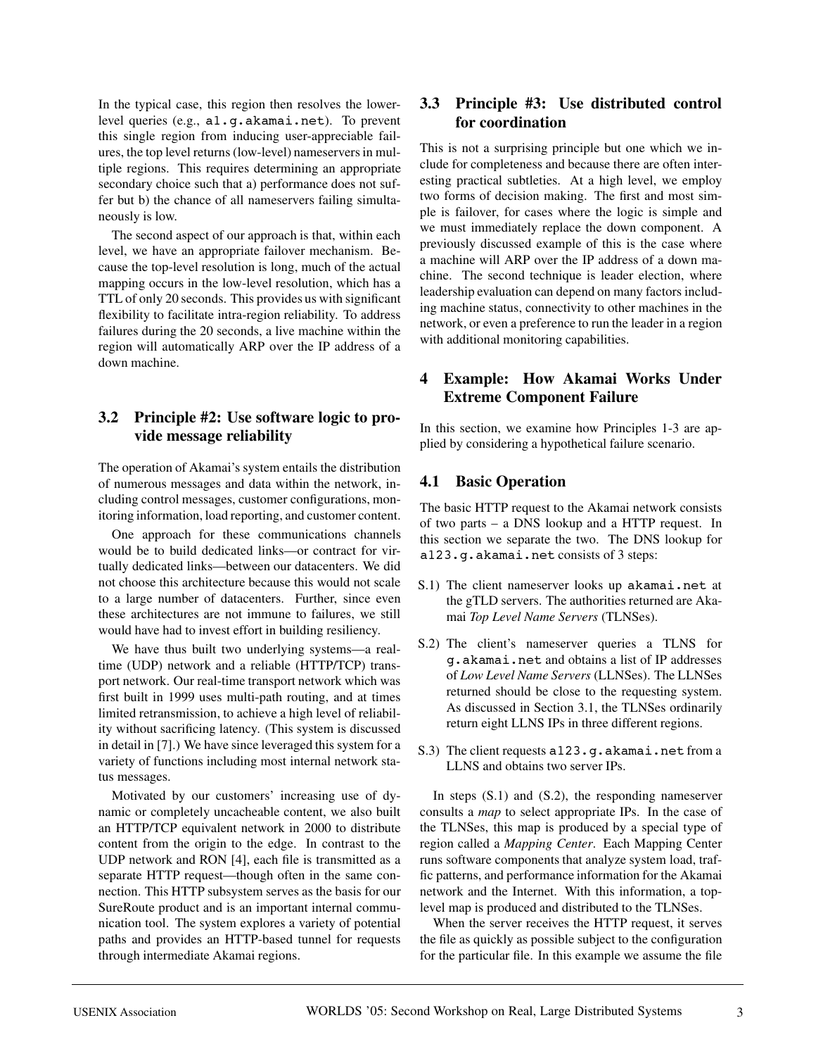In the typical case, this region then resolves the lowerlevel queries (e.g., a1.g.akamai.net). To prevent this single region from inducing user-appreciable failures, the top level returns (low-level) nameservers in multiple regions. This requires determining an appropriate secondary choice such that a) performance does not suffer but b) the chance of all nameservers failing simultaneously is low.

The second aspect of our approach is that, within each level, we have an appropriate failover mechanism. Because the top-level resolution is long, much of the actual mapping occurs in the low-level resolution, which has a TTL of only 20 seconds. This provides us with significant flexibility to facilitate intra-region reliability. To address failures during the 20 seconds, a live machine within the region will automatically ARP over the IP address of a down machine.

### **3.2 Principle #2: Use software logic to provide message reliability**

The operation of Akamai's system entails the distribution of numerous messages and data within the network, including control messages, customer configurations, monitoring information, load reporting, and customer content.

One approach for these communications channels would be to build dedicated links—or contract for virtually dedicated links—between our datacenters. We did not choose this architecture because this would not scale to a large number of datacenters. Further, since even these architectures are not immune to failures, we still would have had to invest effort in building resiliency.

We have thus built two underlying systems—a realtime (UDP) network and a reliable (HTTP/TCP) transport network. Our real-time transport network which was first built in 1999 uses multi-path routing, and at times limited retransmission, to achieve a high level of reliability without sacrificing latency. (This system is discussed in detail in [7].) We have since leveraged this system for a variety of functions including most internal network status messages.

Motivated by our customers' increasing use of dynamic or completely uncacheable content, we also built an HTTP/TCP equivalent network in 2000 to distribute content from the origin to the edge. In contrast to the UDP network and RON [4], each file is transmitted as a separate HTTP request—though often in the same connection. This HTTP subsystem serves as the basis for our SureRoute product and is an important internal communication tool. The system explores a variety of potential paths and provides an HTTP-based tunnel for requests through intermediate Akamai regions.

### **3.3 Principle #3: Use distributed control for coordination**

This is not a surprising principle but one which we include for completeness and because there are often interesting practical subtleties. At a high level, we employ two forms of decision making. The first and most simple is failover, for cases where the logic is simple and we must immediately replace the down component. A previously discussed example of this is the case where a machine will ARP over the IP address of a down machine. The second technique is leader election, where leadership evaluation can depend on many factors including machine status, connectivity to other machines in the network, or even a preference to run the leader in a region with additional monitoring capabilities.

## **4 Example: How Akamai Works Under Extreme Component Failure**

In this section, we examine how Principles 1-3 are applied by considering a hypothetical failure scenario.

### **4.1 Basic Operation**

The basic HTTP request to the Akamai network consists of two parts – a DNS lookup and a HTTP request. In this section we separate the two. The DNS lookup for a123.g.akamai.net consists of 3 steps:

- S.1) The client nameserver looks up akamai.net at the gTLD servers. The authorities returned are Akamai *Top Level Name Servers* (TLNSes).
- S.2) The client's nameserver queries a TLNS for g.akamai.net and obtains a list of IP addresses of *Low Level Name Servers* (LLNSes). The LLNSes returned should be close to the requesting system. As discussed in Section 3.1, the TLNSes ordinarily return eight LLNS IPs in three different regions.
- S.3) The client requests a123.g.akamai.net from a LLNS and obtains two server IPs.

In steps (S.1) and (S.2), the responding nameserver consults a *map* to select appropriate IPs. In the case of the TLNSes, this map is produced by a special type of region called a *Mapping Center*. Each Mapping Center runs software components that analyze system load, traffic patterns, and performance information for the Akamai network and the Internet. With this information, a toplevel map is produced and distributed to the TLNSes.

When the server receives the HTTP request, it serves the file as quickly as possible subject to the configuration for the particular file. In this example we assume the file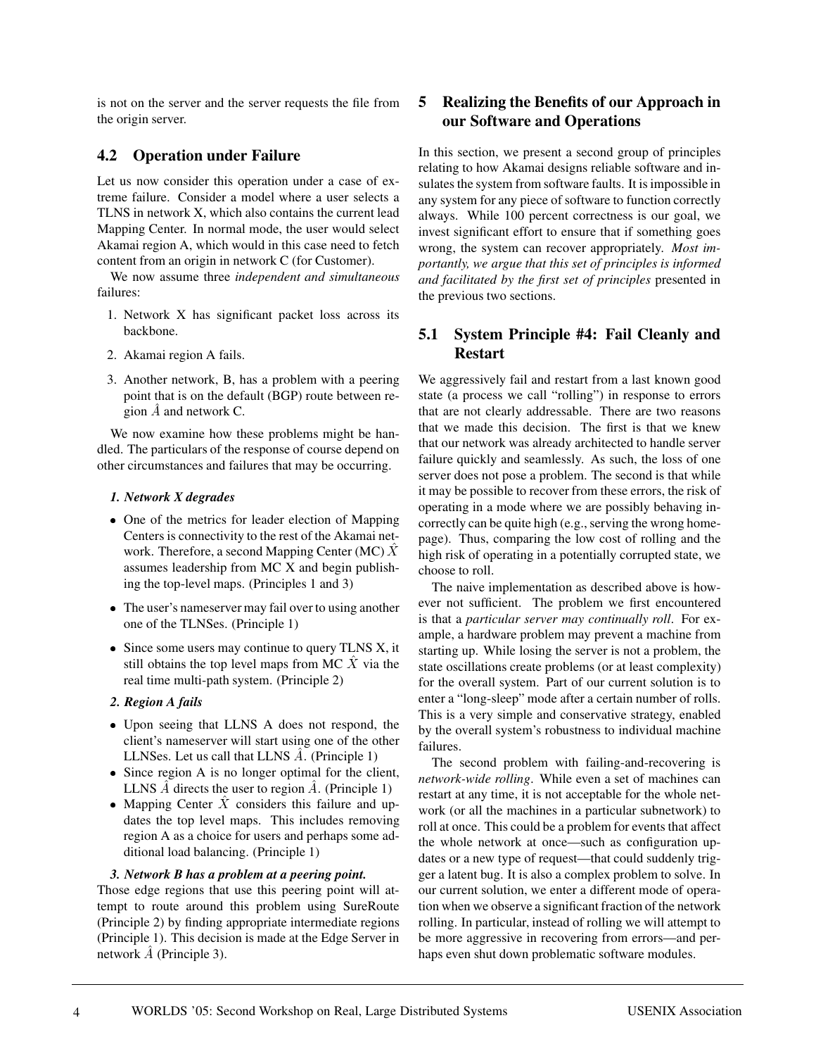is not on the server and the server requests the file from the origin server.

### **4.2 Operation under Failure**

Let us now consider this operation under a case of extreme failure. Consider a model where a user selects a TLNS in network X, which also contains the current lead Mapping Center. In normal mode, the user would select Akamai region A, which would in this case need to fetch content from an origin in network C (for Customer).

We now assume three *independent and simultaneous* failures:

- 1. Network X has significant packet loss across its backbone.
- 2. Akamai region A fails.
- 3. Another network, B, has a problem with a peering point that is on the default (BGP) route between region  $\overline{A}$  and network C.

We now examine how these problems might be handled. The particulars of the response of course depend on other circumstances and failures that may be occurring.

#### *1. Network X degrades*

- One of the metrics for leader election of Mapping Centers is connectivity to the rest of the Akamai network. Therefore, a second Mapping Center (MC)  $\hat{X}$ assumes leadership from MC X and begin publishing the top-level maps. (Principles 1 and 3)
- The user's nameserver may fail over to using another one of the TLNSes. (Principle 1)
- Since some users may continue to query TLNS X, it still obtains the top level maps from MC  $X$  via the real time multi-path system. (Principle 2)
- *2. Region A fails*
- Upon seeing that LLNS A does not respond, the client's nameserver will start using one of the other LLNSes. Let us call that LLNS A. (Principle 1)
- Since region A is no longer optimal for the client, LLNS  $\hat{A}$  directs the user to region  $\hat{A}$ . (Principle 1)
- Mapping Center  $X$  considers this failure and updates the top level maps. This includes removing region A as a choice for users and perhaps some additional load balancing. (Principle 1)

### *3. Network B has a problem at a peering point.*

Those edge regions that use this peering point will attempt to route around this problem using SureRoute (Principle 2) by finding appropriate intermediate regions (Principle 1). This decision is made at the Edge Server in network  $\hat{A}$  (Principle 3).

### **5 Realizing the Benefits of our Approach in our Software and Operations**

In this section, we present a second group of principles relating to how Akamai designs reliable software and insulates the system from software faults. It is impossible in any system for any piece of software to function correctly always. While 100 percent correctness is our goal, we invest significant effort to ensure that if something goes wrong, the system can recover appropriately. *Most importantly, we argue that this set of principles is informed and facilitated by the first set of principles* presented in the previous two sections.

### **5.1 System Principle #4: Fail Cleanly and Restart**

We aggressively fail and restart from a last known good state (a process we call "rolling") in response to errors that are not clearly addressable. There are two reasons that we made this decision. The first is that we knew that our network was already architected to handle server failure quickly and seamlessly. As such, the loss of one server does not pose a problem. The second is that while it may be possible to recover from these errors, the risk of operating in a mode where we are possibly behaving incorrectly can be quite high (e.g., serving the wrong homepage). Thus, comparing the low cost of rolling and the high risk of operating in a potentially corrupted state, we choose to roll.

The naive implementation as described above is however not sufficient. The problem we first encountered is that a *particular server may continually roll*. For example, a hardware problem may prevent a machine from starting up. While losing the server is not a problem, the state oscillations create problems (or at least complexity) for the overall system. Part of our current solution is to enter a "long-sleep" mode after a certain number of rolls. This is a very simple and conservative strategy, enabled by the overall system's robustness to individual machine failures.

The second problem with failing-and-recovering is *network-wide rolling*. While even a set of machines can restart at any time, it is not acceptable for the whole network (or all the machines in a particular subnetwork) to roll at once. This could be a problem for events that affect the whole network at once—such as configuration updates or a new type of request—that could suddenly trigger a latent bug. It is also a complex problem to solve. In our current solution, we enter a different mode of operation when we observe a significant fraction of the network rolling. In particular, instead of rolling we will attempt to be more aggressive in recovering from errors—and perhaps even shut down problematic software modules.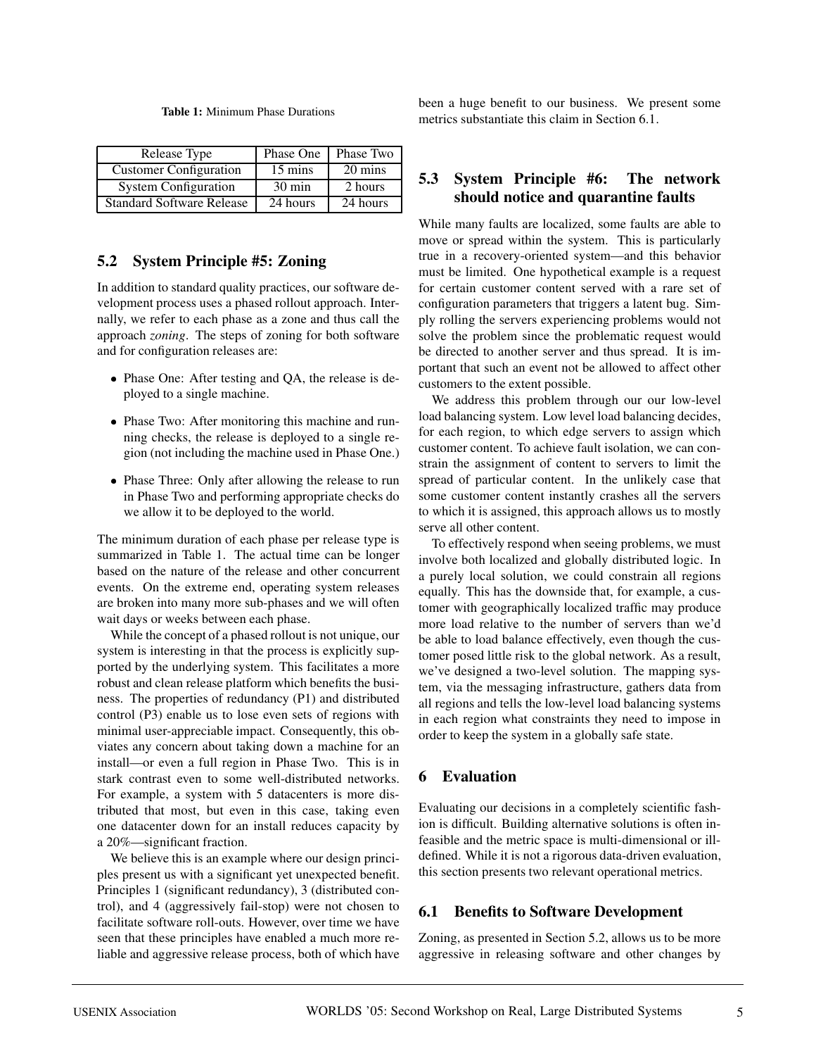#### **Table 1:** Minimum Phase Durations

| Release Type                     | Phase One        | Phase Two |
|----------------------------------|------------------|-----------|
| <b>Customer Configuration</b>    | 15 mins          | 20 mins   |
| <b>System Configuration</b>      | $30 \text{ min}$ | 2 hours   |
| <b>Standard Software Release</b> | 24 hours         | 24 hours  |

### **5.2 System Principle #5: Zoning**

In addition to standard quality practices, our software development process uses a phased rollout approach. Internally, we refer to each phase as a zone and thus call the approach *zoning*. The steps of zoning for both software and for configuration releases are:

- Phase One: After testing and QA, the release is deployed to a single machine.
- Phase Two: After monitoring this machine and running checks, the release is deployed to a single region (not including the machine used in Phase One.)
- Phase Three: Only after allowing the release to run in Phase Two and performing appropriate checks do we allow it to be deployed to the world.

The minimum duration of each phase per release type is summarized in Table 1. The actual time can be longer based on the nature of the release and other concurrent events. On the extreme end, operating system releases are broken into many more sub-phases and we will often wait days or weeks between each phase.

While the concept of a phased rollout is not unique, our system is interesting in that the process is explicitly supported by the underlying system. This facilitates a more robust and clean release platform which benefits the business. The properties of redundancy (P1) and distributed control (P3) enable us to lose even sets of regions with minimal user-appreciable impact. Consequently, this obviates any concern about taking down a machine for an install—or even a full region in Phase Two. This is in stark contrast even to some well-distributed networks. For example, a system with 5 datacenters is more distributed that most, but even in this case, taking even one datacenter down for an install reduces capacity by a 20%—significant fraction.

We believe this is an example where our design principles present us with a significant yet unexpected benefit. Principles 1 (significant redundancy), 3 (distributed control), and 4 (aggressively fail-stop) were not chosen to facilitate software roll-outs. However, over time we have seen that these principles have enabled a much more reliable and aggressive release process, both of which have been a huge benefit to our business. We present some metrics substantiate this claim in Section 6.1.

### **5.3 System Principle #6: The network should notice and quarantine faults**

While many faults are localized, some faults are able to move or spread within the system. This is particularly true in a recovery-oriented system—and this behavior must be limited. One hypothetical example is a request for certain customer content served with a rare set of configuration parameters that triggers a latent bug. Simply rolling the servers experiencing problems would not solve the problem since the problematic request would be directed to another server and thus spread. It is important that such an event not be allowed to affect other customers to the extent possible.

We address this problem through our our low-level load balancing system. Low level load balancing decides, for each region, to which edge servers to assign which customer content. To achieve fault isolation, we can constrain the assignment of content to servers to limit the spread of particular content. In the unlikely case that some customer content instantly crashes all the servers to which it is assigned, this approach allows us to mostly serve all other content.

To effectively respond when seeing problems, we must involve both localized and globally distributed logic. In a purely local solution, we could constrain all regions equally. This has the downside that, for example, a customer with geographically localized traffic may produce more load relative to the number of servers than we'd be able to load balance effectively, even though the customer posed little risk to the global network. As a result, we've designed a two-level solution. The mapping system, via the messaging infrastructure, gathers data from all regions and tells the low-level load balancing systems in each region what constraints they need to impose in order to keep the system in a globally safe state.

### **6 Evaluation**

Evaluating our decisions in a completely scientific fashion is difficult. Building alternative solutions is often infeasible and the metric space is multi-dimensional or illdefined. While it is not a rigorous data-driven evaluation, this section presents two relevant operational metrics.

### **6.1 Benefits to Software Development**

Zoning, as presented in Section 5.2, allows us to be more aggressive in releasing software and other changes by